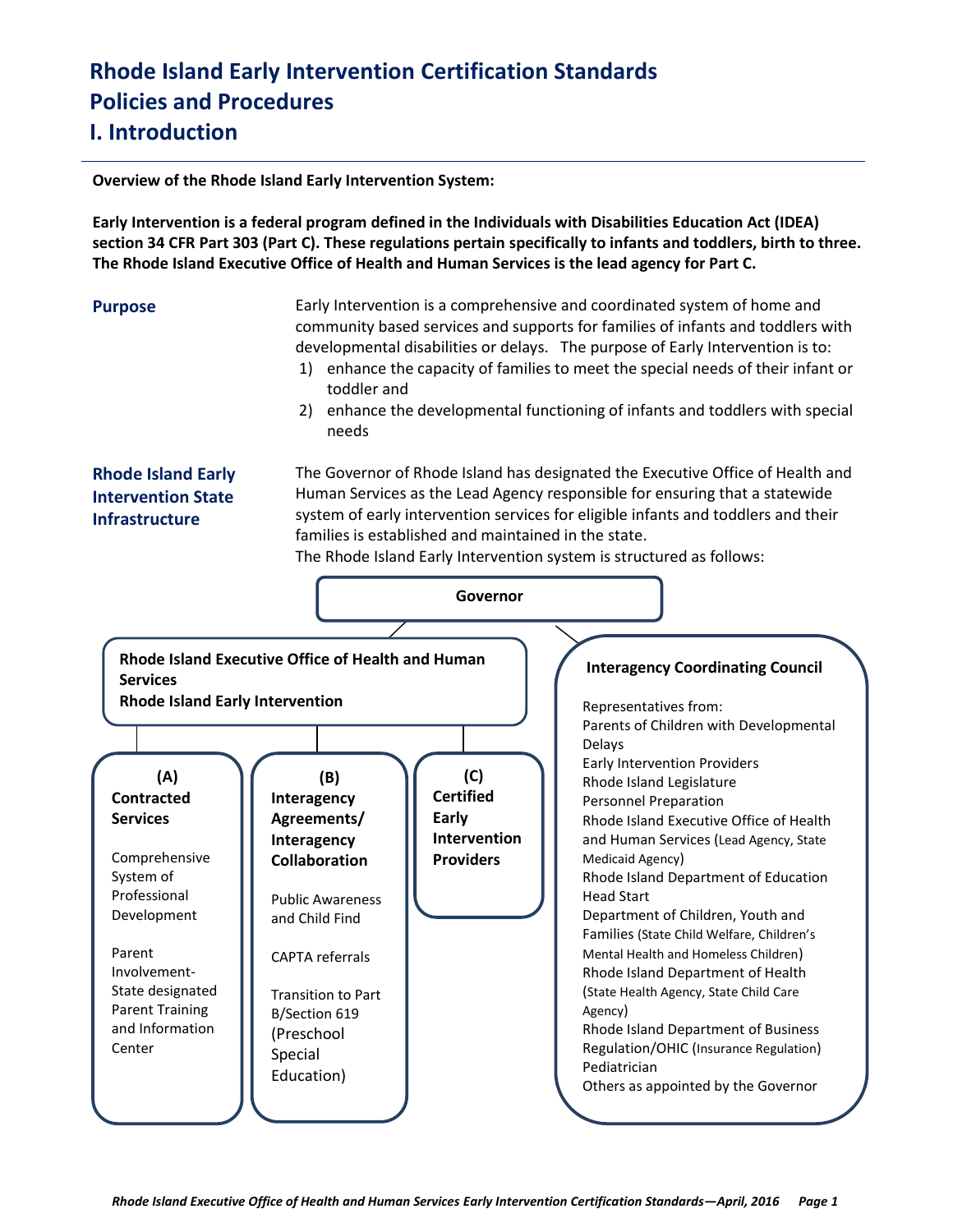**Overview of the Rhode Island Early Intervention System:** 

**Early Intervention is a federal program defined in the Individuals with Disabilities Education Act (IDEA) section 34 CFR Part 303 (Part C). These regulations pertain specifically to infants and toddlers, birth to three. The Rhode Island Executive Office of Health and Human Services is the lead agency for Part C.** 

**Purpose** Early Intervention is a comprehensive and coordinated system of home and community based services and supports for families of infants and toddlers with developmental disabilities or delays. The purpose of Early Intervention is to:

- 1) enhance the capacity of families to meet the special needs of their infant or toddler and
- 2) enhance the developmental functioning of infants and toddlers with special needs

### **Rhode Island Early Intervention State Infrastructure**

The Governor of Rhode Island has designated the Executive Office of Health and Human Services as the Lead Agency responsible for ensuring that a statewide system of early intervention services for eligible infants and toddlers and their families is established and maintained in the state.

The Rhode Island Early Intervention system is structured as follows:

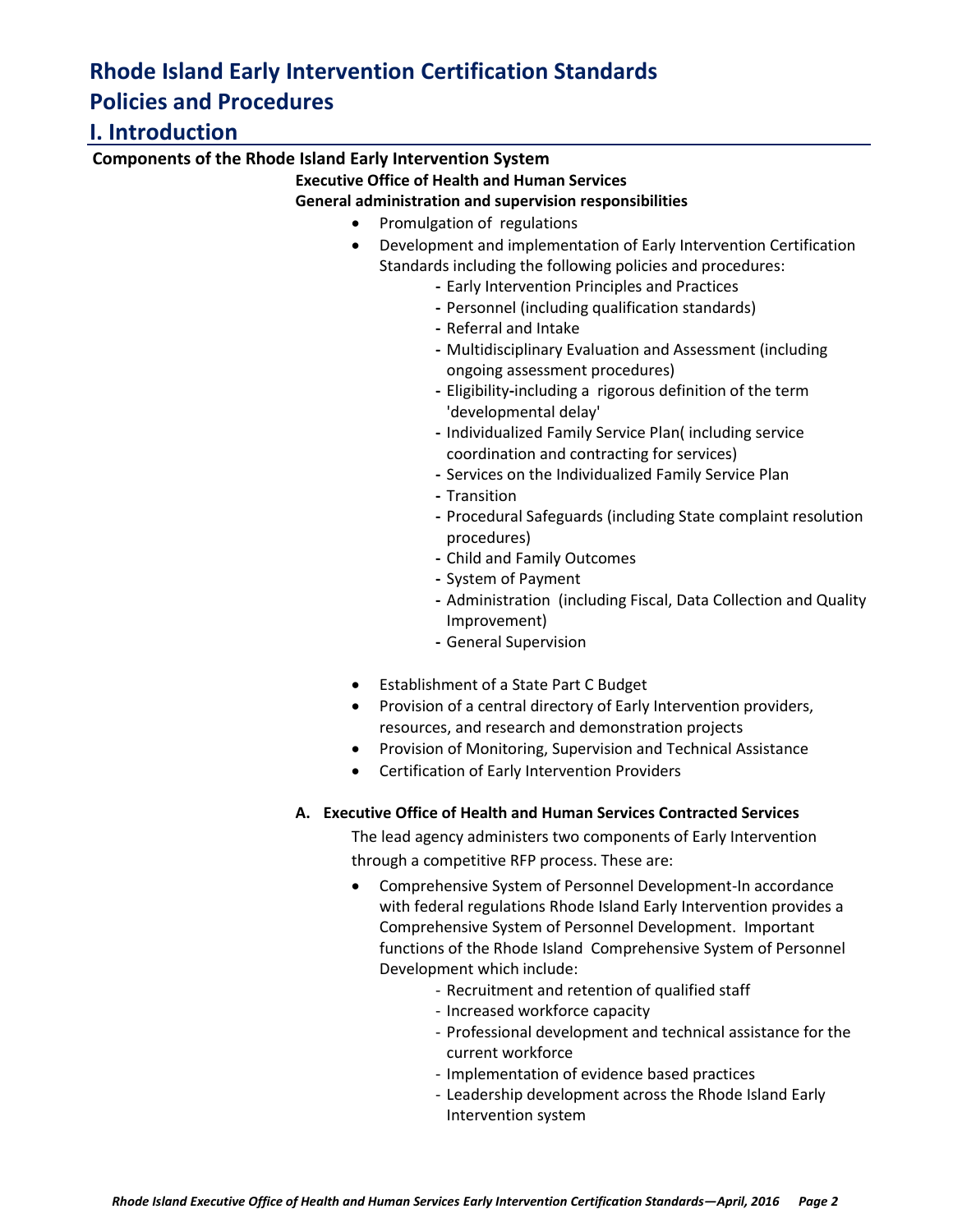### **I. Introduction**

### **Components of the Rhode Island Early Intervention System**

### **Executive Office of Health and Human Services**

### **General administration and supervision responsibilities**

- Promulgation of regulations
- Development and implementation of Early Intervention Certification Standards including the following policies and procedures:
	- **-** Early Intervention Principles and Practices
	- **-** Personnel (including qualification standards)
	- **-** Referral and Intake
	- **-** Multidisciplinary Evaluation and Assessment (including ongoing assessment procedures)
	- **-** Eligibility**-**including a rigorous definition of the term 'developmental delay'
	- **-** Individualized Family Service Plan( including service coordination and contracting for services)
	- **-** Services on the Individualized Family Service Plan
	- **-** Transition
	- **-** Procedural Safeguards (including State complaint resolution procedures)
	- **-** Child and Family Outcomes
	- **-** System of Payment
	- **-** Administration (including Fiscal, Data Collection and Quality Improvement)
	- **-** General Supervision
- Establishment of a State Part C Budget
- Provision of a central directory of Early Intervention providers, resources, and research and demonstration projects
- Provision of Monitoring, Supervision and Technical Assistance
- Certification of Early Intervention Providers

### **A. Executive Office of Health and Human Services Contracted Services**

The lead agency administers two components of Early Intervention through a competitive RFP process. These are:

- Comprehensive System of Personnel Development-In accordance with federal regulations Rhode Island Early Intervention provides a Comprehensive System of Personnel Development. Important functions of the Rhode Island Comprehensive System of Personnel Development which include:
	- Recruitment and retention of qualified staff
	- Increased workforce capacity
	- Professional development and technical assistance for the current workforce
	- Implementation of evidence based practices
	- Leadership development across the Rhode Island Early Intervention system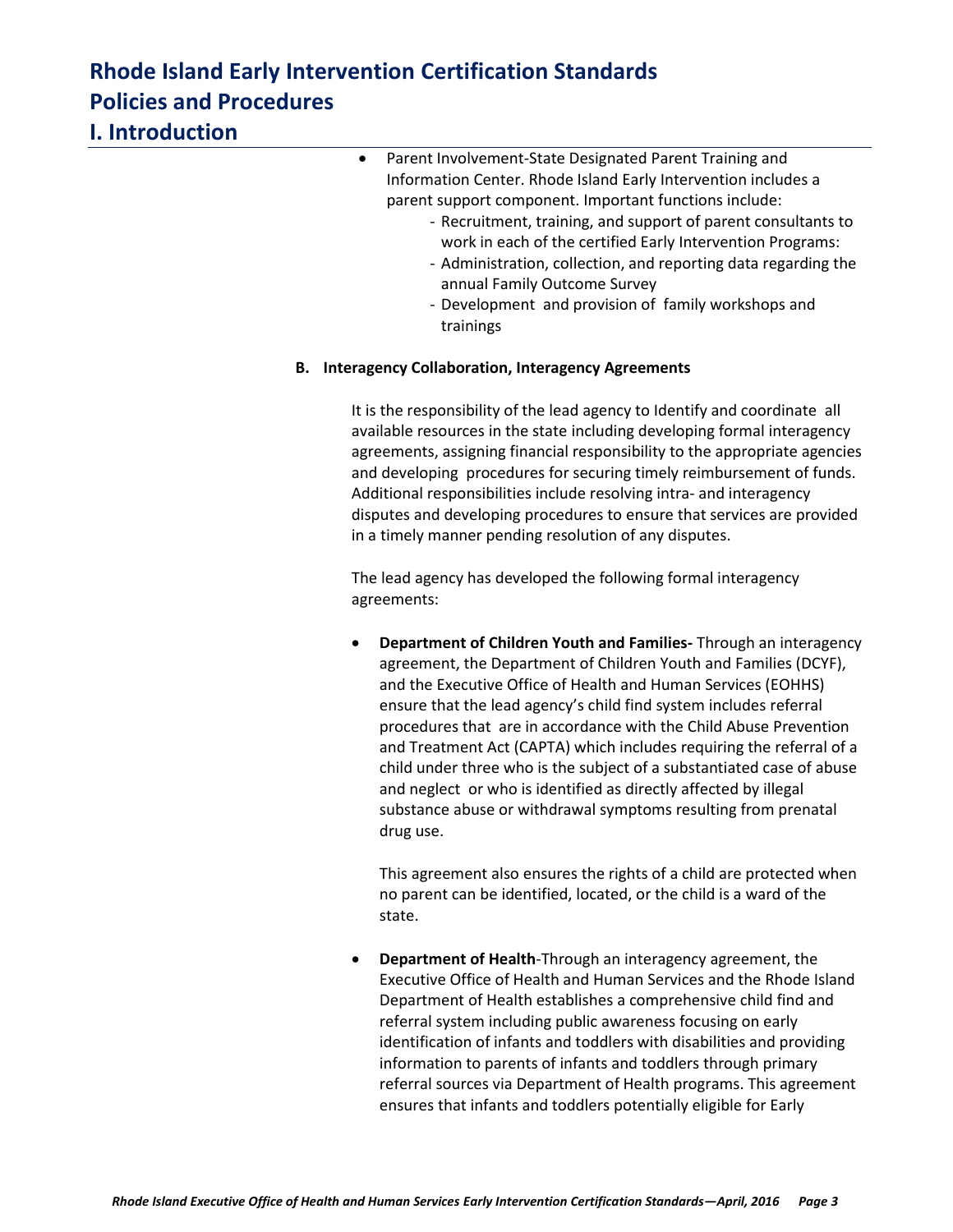## **I. Introduction**

| $\bullet$ | Parent Involvement-State Designated Parent Training and        |  |
|-----------|----------------------------------------------------------------|--|
|           | Information Center. Rhode Island Early Intervention includes a |  |
|           | parent support component. Important functions include:         |  |
|           | - Recruitment training and sunnort of narent consultants       |  |

- Recruitment, training, and support of parent consultants to work in each of the certified Early Intervention Programs:
- Administration, collection, and reporting data regarding the annual Family Outcome Survey
- Development and provision of family workshops and trainings

### **B. Interagency Collaboration, Interagency Agreements**

It is the responsibility of the lead agency to Identify and coordinate all available resources in the state including developing formal interagency agreements, assigning financial responsibility to the appropriate agencies and developing procedures for securing timely reimbursement of funds. Additional responsibilities include resolving intra- and interagency disputes and developing procedures to ensure that services are provided in a timely manner pending resolution of any disputes.

The lead agency has developed the following formal interagency agreements:

 **Department of Children Youth and Families-** Through an interagency agreement, the Department of Children Youth and Families (DCYF), and the Executive Office of Health and Human Services (EOHHS) ensure that the lead agency's child find system includes referral procedures that are in accordance with the Child Abuse Prevention and Treatment Act (CAPTA) which includes requiring the referral of a child under three who is the subject of a substantiated case of abuse and neglect or who is identified as directly affected by illegal substance abuse or withdrawal symptoms resulting from prenatal drug use.

This agreement also ensures the rights of a child are protected when no parent can be identified, located, or the child is a ward of the state.

 **Department of Health**-Through an interagency agreement, the Executive Office of Health and Human Services and the Rhode Island Department of Health establishes a comprehensive child find and referral system including public awareness focusing on early identification of infants and toddlers with disabilities and providing information to parents of infants and toddlers through primary referral sources via Department of Health programs. This agreement ensures that infants and toddlers potentially eligible for Early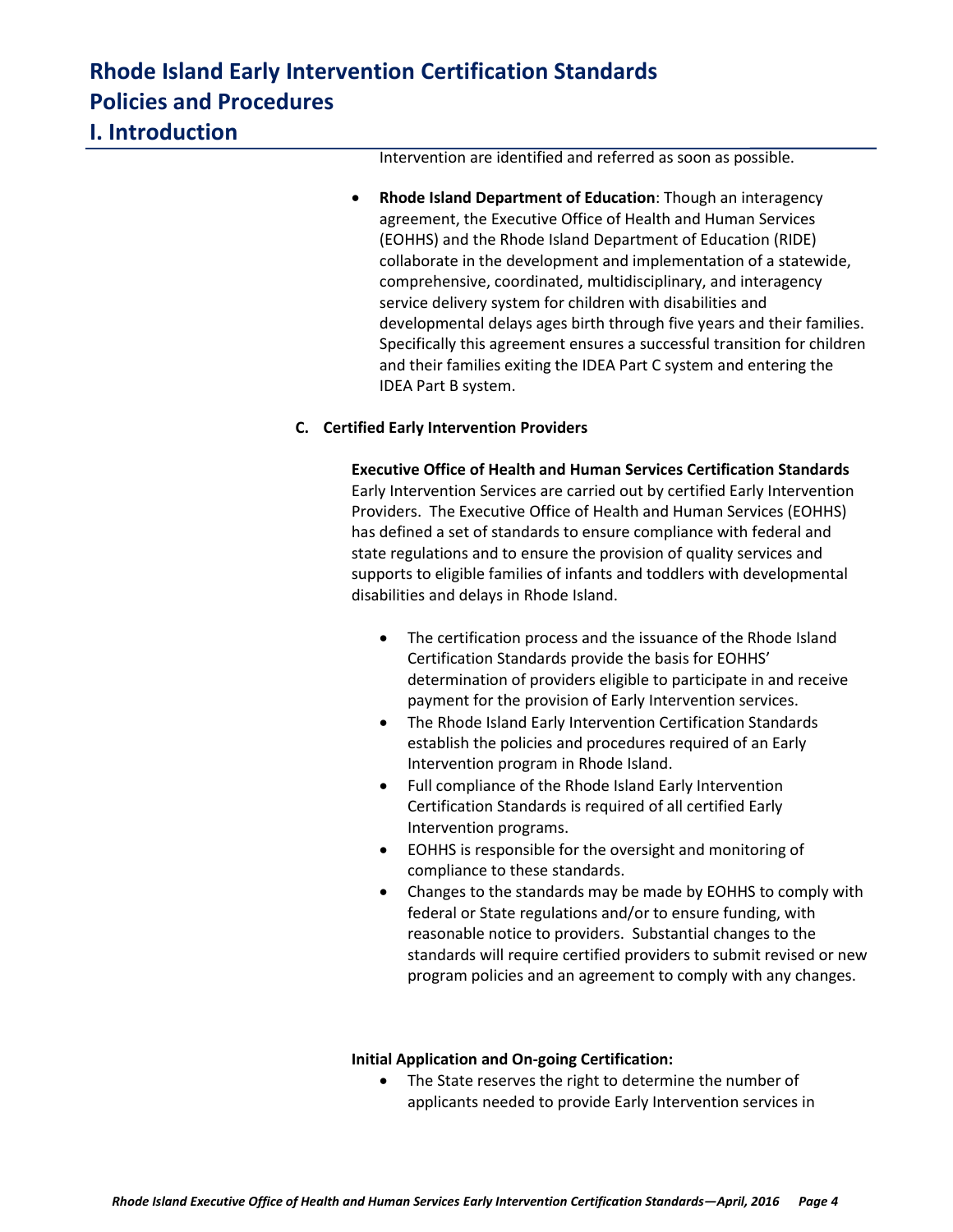### **I. Introduction**

Intervention are identified and referred as soon as possible.

 **Rhode Island Department of Education**: Though an interagency agreement, the Executive Office of Health and Human Services (EOHHS) and the Rhode Island Department of Education (RIDE) collaborate in the development and implementation of a statewide, comprehensive, coordinated, multidisciplinary, and interagency service delivery system for children with disabilities and developmental delays ages birth through five years and their families. Specifically this agreement ensures a successful transition for children and their families exiting the IDEA Part C system and entering the IDEA Part B system.

### **C. Certified Early Intervention Providers**

**Executive Office of Health and Human Services Certification Standards** Early Intervention Services are carried out by certified Early Intervention Providers. The Executive Office of Health and Human Services (EOHHS) has defined a set of standards to ensure compliance with federal and state regulations and to ensure the provision of quality services and supports to eligible families of infants and toddlers with developmental disabilities and delays in Rhode Island.

- The certification process and the issuance of the Rhode Island Certification Standards provide the basis for EOHHS' determination of providers eligible to participate in and receive payment for the provision of Early Intervention services.
- The Rhode Island Early Intervention Certification Standards establish the policies and procedures required of an Early Intervention program in Rhode Island.
- Full compliance of the Rhode Island Early Intervention Certification Standards is required of all certified Early Intervention programs.
- EOHHS is responsible for the oversight and monitoring of compliance to these standards.
- Changes to the standards may be made by EOHHS to comply with federal or State regulations and/or to ensure funding, with reasonable notice to providers. Substantial changes to the standards will require certified providers to submit revised or new program policies and an agreement to comply with any changes.

### **Initial Application and On-going Certification:**

• The State reserves the right to determine the number of applicants needed to provide Early Intervention services in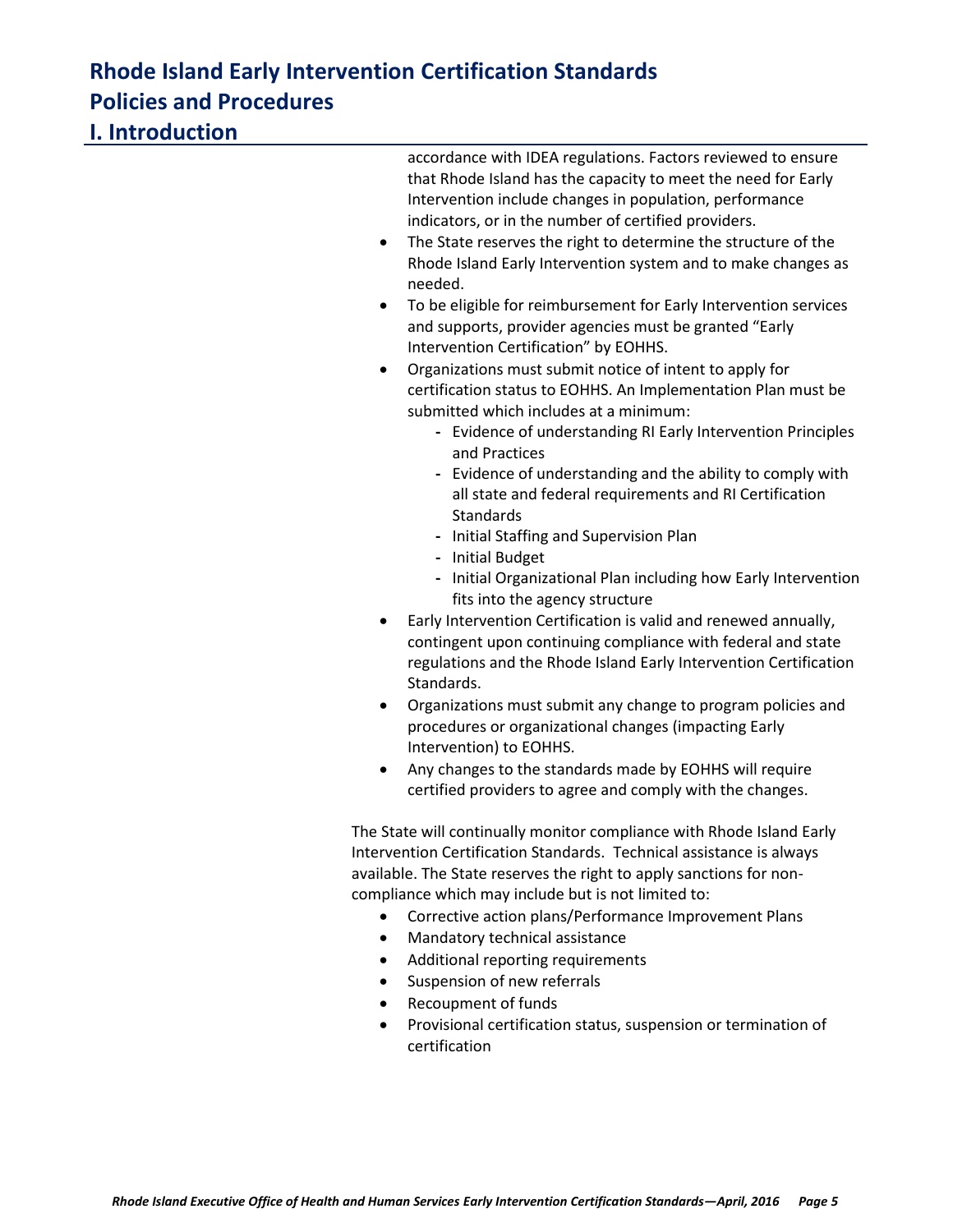| I. Introduction |                                                                                                                                                                                                                                                                                                                                                                                                                                                                                                                                                                                                                                                                                                                                                                                                                                                                                                         |
|-----------------|---------------------------------------------------------------------------------------------------------------------------------------------------------------------------------------------------------------------------------------------------------------------------------------------------------------------------------------------------------------------------------------------------------------------------------------------------------------------------------------------------------------------------------------------------------------------------------------------------------------------------------------------------------------------------------------------------------------------------------------------------------------------------------------------------------------------------------------------------------------------------------------------------------|
|                 | accordance with IDEA regulations. Factors reviewed to ensure<br>that Rhode Island has the capacity to meet the need for Early<br>Intervention include changes in population, performance<br>indicators, or in the number of certified providers.<br>The State reserves the right to determine the structure of the<br>Rhode Island Early Intervention system and to make changes as<br>needed.<br>To be eligible for reimbursement for Early Intervention services<br>and supports, provider agencies must be granted "Early<br>Intervention Certification" by EOHHS.<br>Organizations must submit notice of intent to apply for<br>$\bullet$<br>certification status to EOHHS. An Implementation Plan must be<br>submitted which includes at a minimum:<br>- Evidence of understanding RI Early Intervention Principles<br>and Practices<br>- Evidence of understanding and the ability to comply with |
|                 | all state and federal requirements and RI Certification<br>Standards<br>- Initial Staffing and Supervision Plan<br>- Initial Budget                                                                                                                                                                                                                                                                                                                                                                                                                                                                                                                                                                                                                                                                                                                                                                     |
|                 | - Initial Organizational Plan including how Early Intervention<br>fits into the agency structure                                                                                                                                                                                                                                                                                                                                                                                                                                                                                                                                                                                                                                                                                                                                                                                                        |
|                 | Early Intervention Certification is valid and renewed annually,<br>contingent upon continuing compliance with federal and state<br>regulations and the Rhode Island Early Intervention Certification<br>Standards.                                                                                                                                                                                                                                                                                                                                                                                                                                                                                                                                                                                                                                                                                      |
|                 | Organizations must submit any change to program policies and<br>procedures or organizational changes (impacting Early<br>Intervention) to EOHHS.                                                                                                                                                                                                                                                                                                                                                                                                                                                                                                                                                                                                                                                                                                                                                        |
|                 | Any changes to the standards made by EOHHS will require<br>certified providers to agree and comply with the changes.                                                                                                                                                                                                                                                                                                                                                                                                                                                                                                                                                                                                                                                                                                                                                                                    |
|                 | The State will continually monitor compliance with Rhode Island Early<br>Intervention Certification Standards. Technical assistance is always<br>$\mathbf{a}$ , and the contract of the contract of the contract of the contract of the contract of the contract of the contract of the contract of the contract of the contract of the contract of the contract of the contract o                                                                                                                                                                                                                                                                                                                                                                                                                                                                                                                      |

available. The State reserves the right to apply sanctions for noncompliance which may include but is not limited to:

- Corrective action plans/Performance Improvement Plans
- Mandatory technical assistance
- Additional reporting requirements
- **•** Suspension of new referrals
- Recoupment of funds
- Provisional certification status, suspension or termination of certification